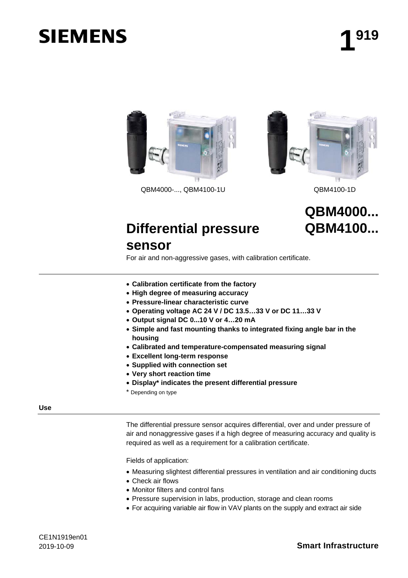# **SIEMENS**



QBM4000-..., QBM4100-1U QBM4100-1D



### **QBM4000... QBM4100...**

## **Differential pressure**

### **sensor**

For air and non-aggressive gases, with calibration certificate.

- **Calibration certificate from the factory**
- **High degree of measuring accuracy**
- **Pressure-linear characteristic curve**
- **Operating voltage AC 24 V / DC 13.5…33 V or DC 11…33 V**
- **Output signal DC 0...10 V or 4…20 mA**
- **Simple and fast mounting thanks to integrated fixing angle bar in the housing**
- **Calibrated and temperature-compensated measuring signal**
- **Excellent long-term response**
- **Supplied with connection set**
- **Very short reaction time**
- **Display\* indicates the present differential pressure**
- \* Depending on type

#### **Use**

The differential pressure sensor acquires differential, over and under pressure of air and nonaggressive gases if a high degree of measuring accuracy and quality is required as well as a requirement for a calibration certificate.

Fields of application:

- Measuring slightest differential pressures in ventilation and air conditioning ducts
- Check air flows
- Monitor filters and control fans
- Pressure supervision in labs, production, storage and clean rooms
- For acquiring variable air flow in VAV plants on the supply and extract air side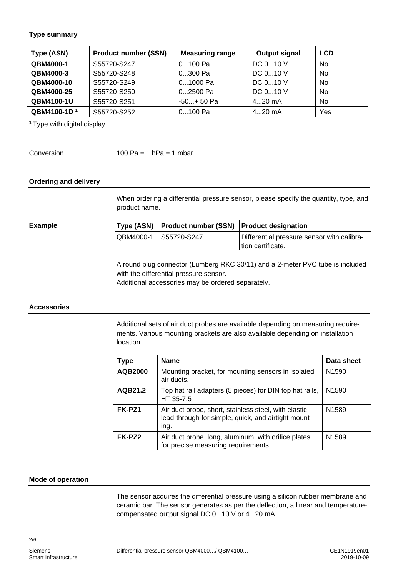#### **Type summary**

| Type (ASN)              | <b>Product number (SSN)</b> | <b>Measuring range</b> | <b>Output signal</b> | <b>LCD</b> |
|-------------------------|-----------------------------|------------------------|----------------------|------------|
| QBM4000-1               | S55720-S247                 | $0100$ Pa              | DC 010 V             | No         |
| QBM4000-3               | S55720-S248                 | 0300 Pa                | DC 010 V             | No         |
| QBM4000-10              | S55720-S249                 | 01000 Pa               | DC $010$ V           | No         |
| QBM4000-25              | S55720-S250                 | 02500 Pa               | DC 010 V             | <b>No</b>  |
| QBM4100-1U              | S55720-S251                 | $-50+50$ Pa            | $420$ mA             | <b>No</b>  |
| QBM4100-1D <sup>1</sup> | S55720-S252                 | $0100$ Pa              | $420$ mA             | Yes        |

**<sup>1</sup>**Type with digital display.

Conversion

100 Pa = 1 hPa = 1 mbar

#### **Ordering and delivery**

When ordering a differential pressure sensor, please specify the quantity, type, and product name.

**Example**

| Type (ASN) Product number (SSN) Product designation |                                                                 |
|-----------------------------------------------------|-----------------------------------------------------------------|
| QBM4000-1 S55720-S247                               | Differential pressure sensor with calibra-<br>tion certificate. |

A round plug connector (Lumberg RKC 30/11) and a 2-meter PVC tube is included with the differential pressure sensor.

Additional accessories may be ordered separately.

#### **Accessories**

Additional sets of air duct probes are available depending on measuring requirements. Various mounting brackets are also available depending on installation location.

| <b>Type</b>    | <b>Name</b>                                                                                                         | Data sheet        |
|----------------|---------------------------------------------------------------------------------------------------------------------|-------------------|
| <b>AQB2000</b> | Mounting bracket, for mounting sensors in isolated<br>air ducts.                                                    | N <sub>1590</sub> |
| AQB21.2        | Top hat rail adapters (5 pieces) for DIN top hat rails,<br>HT 35-7.5                                                | N <sub>1590</sub> |
| FK-PZ1         | Air duct probe, short, stainless steel, with elastic<br>lead-through for simple, quick, and airtight mount-<br>ing. | N <sub>1589</sub> |
| FK-PZ2         | Air duct probe, long, aluminum, with orifice plates<br>for precise measuring requirements.                          | N <sub>1589</sub> |

#### **Mode of operation**

The sensor acquires the differential pressure using a silicon rubber membrane and ceramic bar. The sensor generates as per the deflection, a linear and temperaturecompensated output signal DC 0...10 V or 4...20 mA.

Smart Infrastructure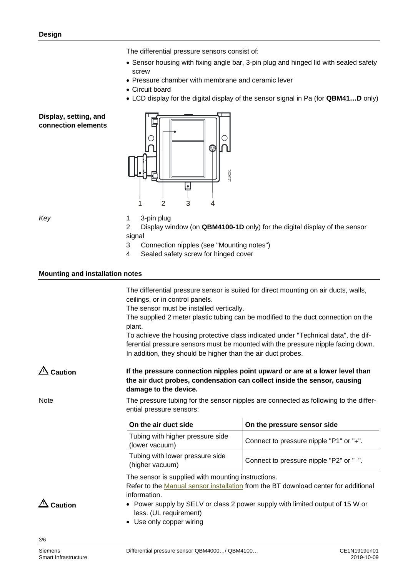The differential pressure sensors consist of:

- Sensor housing with fixing angle bar, 3-pin plug and hinged lid with sealed safety screw
- Pressure chamber with membrane and ceramic lever
- Circuit board
- LCD display for the digital display of the sensor signal in Pa (for **QBM41…D** only)

#### **Display, setting, and connection elements**



*Key*

1 3-pin plug

2 Display window (on **QBM4100-1D** only) for the digital display of the sensor signal

- 3 Connection nipples (see "Mounting notes")
- 4 Sealed safety screw for hinged cover

#### **Mounting and installation notes**

The differential pressure sensor is suited for direct mounting on air ducts, walls, ceilings, or in control panels.

The sensor must be installed vertically.

The supplied 2 meter plastic tubing can be modified to the duct connection on the plant.

To achieve the housing protective class indicated under "Technical data", the differential pressure sensors must be mounted with the pressure nipple facing down. In addition, they should be higher than the air duct probes.

**If the pressure connection nipples point upward or are at a lower level than the air duct probes, condensation can collect inside the sensor, causing damage to the device. Caution** 

**Note** 

The pressure tubing for the sensor nipples are connected as following to the differential pressure sensors:

| On the air duct side                               | On the pressure sensor side             |
|----------------------------------------------------|-----------------------------------------|
| Tubing with higher pressure side<br>(lower vacuum) | Connect to pressure nipple "P1" or "+". |
| Tubing with lower pressure side<br>(higher vacuum) | Connect to pressure nipple "P2" or "-". |

The sensor is supplied with mounting instructions.

Refer to the [Manual sensor installation](http://www.siemens.com/bt/file?soi=A6V10356697) from the BT download center for additional information.

 $\triangle$  Caution

- Power supply by SELV or class 2 power supply with limited output of 15 W or less. (UL requirement)
	- Use only copper wiring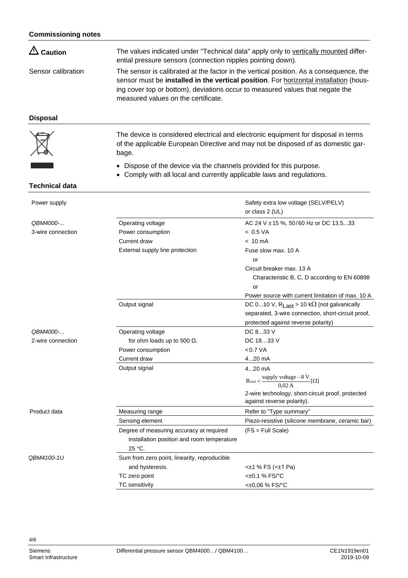| $\triangle$ Caution | The values indicated under "Technical data" apply only to vertically mounted differ-<br>ential pressure sensors (connection nipples pointing down).                                                                                                                                                             |
|---------------------|-----------------------------------------------------------------------------------------------------------------------------------------------------------------------------------------------------------------------------------------------------------------------------------------------------------------|
| Sensor calibration  | The sensor is calibrated at the factor in the vertical position. As a consequence, the<br>sensor must be <b>installed in the vertical position</b> . For horizontal installation (hous-<br>ing cover top or bottom), deviations occur to measured values that negate the<br>measured values on the certificate. |

#### **Disposal**

The device is considered electrical and electronic equipment for disposal in terms of the applicable European Directive and may not be disposed of as domestic garbage.

- Dispose of the device via the channels provided for this purpose.
- Comply with all local and currently applicable laws and regulations.

#### **Technical data**

| Power supply      |                                              | Safety extra low voltage (SELV/PELV)<br>or class 2 (UL)                         |
|-------------------|----------------------------------------------|---------------------------------------------------------------------------------|
| QBM4000-          | Operating voltage                            | AC 24 V ± 15 %, 50/60 Hz or DC 13.533                                           |
| 3-wire connection | Power consumption                            | < 0.5 VA                                                                        |
|                   | Current draw                                 | $< 10 \text{ mA}$                                                               |
|                   | External supply line protection              | Fuse slow max, 10 A                                                             |
|                   |                                              | or                                                                              |
|                   |                                              | Circuit breaker max, 13 A                                                       |
|                   |                                              | Characteristic B, C, D according to EN 60898                                    |
|                   |                                              | or                                                                              |
|                   |                                              | Power source with current limitation of max. 10 A                               |
|                   | Output signal                                | DC 010 V, $R_{Last} > 10 k\Omega$ (not galvanically                             |
|                   |                                              | separated, 3-wire connection, short-circuit proof,                              |
|                   |                                              | protected against reverse polarity)                                             |
| QBM4000-          | Operating voltage                            | DC 833 V                                                                        |
| 2-wire connection | for ohm loads up to 500 $\Omega$ .           | DC 1833 V                                                                       |
|                   | Power consumption                            | < 0.7 VA                                                                        |
|                   | Current draw                                 | 420 mA                                                                          |
|                   | Output signal                                | $420$ mA                                                                        |
|                   |                                              | $R_{load} < \frac{supply \ voltage - 8 \ V}{0.02 \ A}$ [ $\Omega$ ]             |
|                   |                                              | 2-wire technology, short-circuit proof, protected<br>against reverse polarity). |
| Product data      | Measuring range                              | Refer to "Type summary"                                                         |
|                   | Sensing element                              | Piezo-resistive (silicone membrane, ceramic bar)                                |
|                   | Degree of measuring accuracy at required     | $(FS = Full Scale)$                                                             |
|                   | installation position and room temperature   |                                                                                 |
|                   | 25 °C.                                       |                                                                                 |
| QBM4100-1U        | Sum from zero point, linearity, reproducible |                                                                                 |
|                   | and hysteresis.                              | $<\pm 1$ % FS ( $<\pm 1$ Pa)                                                    |
|                   | TC zero point                                | <±0,1 % FS/°C                                                                   |
|                   | <b>TC</b> sensitivity                        | <±0,06 % FS/°C                                                                  |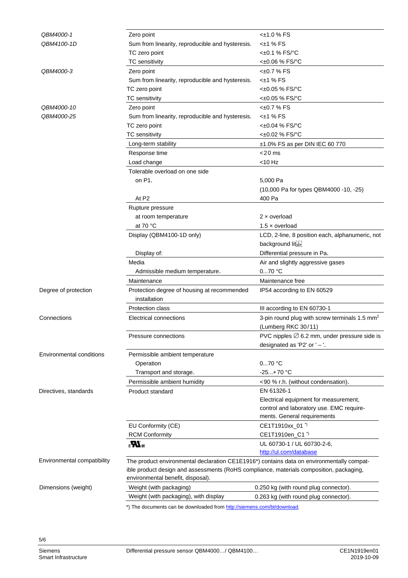| QBM4000-1                                                                               | Zero point                                                                                | <±1.0 % FS                                                |
|-----------------------------------------------------------------------------------------|-------------------------------------------------------------------------------------------|-----------------------------------------------------------|
| QBM4100-1D                                                                              | Sum from linearity, reproducible and hysteresis.                                          | $<\pm 1$ % FS                                             |
|                                                                                         | TC zero point                                                                             | <±0.1 % FS/°C                                             |
|                                                                                         | TC sensitivity                                                                            | <±0.06 % FS/°C                                            |
| QBM4000-3                                                                               | Zero point                                                                                | <±0.7 % FS                                                |
|                                                                                         | Sum from linearity, reproducible and hysteresis.                                          | <±1 % FS                                                  |
|                                                                                         | TC zero point                                                                             | <±0.05 % FS/°C                                            |
|                                                                                         | <b>TC</b> sensitivity                                                                     | <±0.05 % FS/°C                                            |
| QBM4000-10                                                                              | Zero point                                                                                | <±0.7 % FS                                                |
| QBM4000-25                                                                              | Sum from linearity, reproducible and hysteresis.                                          | <±1 % FS                                                  |
|                                                                                         | TC zero point                                                                             | <±0.04 % FS/°C                                            |
|                                                                                         | TC sensitivity                                                                            | <±0.02 % FS/°C                                            |
|                                                                                         | Long-term stability                                                                       | $±1.0\%$ FS as per DIN IEC 60 770                         |
|                                                                                         | Response time                                                                             | $<$ 20 ms                                                 |
|                                                                                         | Load change                                                                               | $<$ 10 Hz                                                 |
|                                                                                         | Tolerable overload on one side                                                            |                                                           |
|                                                                                         | on P1.                                                                                    | 5,000 Pa                                                  |
|                                                                                         |                                                                                           | (10,000 Pa for types QBM4000 -10, -25)                    |
|                                                                                         | At P <sub>2</sub>                                                                         | 400 Pa                                                    |
|                                                                                         | Rupture pressure                                                                          |                                                           |
|                                                                                         | at room temperature                                                                       | $2 \times$ overload                                       |
|                                                                                         | at 70 $\degree$ C                                                                         | $1.5 \times$ overload                                     |
|                                                                                         | Display (QBM4100-1D only)                                                                 | LCD, 2-line, 8 position each, alphanumeric, not           |
|                                                                                         |                                                                                           | background liter                                          |
|                                                                                         | Display of:                                                                               | Differential pressure in Pa.                              |
|                                                                                         | Media                                                                                     | Air and slightly aggressive gases                         |
|                                                                                         | Admissible medium temperature.                                                            | $070$ °C                                                  |
|                                                                                         | Maintenance                                                                               | Maintenance free                                          |
| Degree of protection                                                                    | Protection degree of housing at recommended                                               | IP54 according to EN 60529                                |
|                                                                                         | installation                                                                              |                                                           |
|                                                                                         | <b>Protection class</b>                                                                   | III according to EN 60730-1                               |
| Connections                                                                             | <b>Electrical connections</b>                                                             | 3-pin round plug with screw terminals 1.5 mm <sup>2</sup> |
|                                                                                         |                                                                                           | (Lumberg RKC 30/11)                                       |
|                                                                                         | Pressure connections                                                                      | PVC nipples $\varnothing$ 6.2 mm, under pressure side is  |
|                                                                                         |                                                                                           | designated as 'P2' or $'-'.$                              |
| <b>Environmental conditions</b>                                                         | Permissible ambient temperature                                                           |                                                           |
|                                                                                         | Operation                                                                                 | $070$ °C                                                  |
|                                                                                         | Transport and storage.                                                                    | $-25+70 °C$                                               |
|                                                                                         | Permissible ambient humidity                                                              | <90 % r.h. (without condensation).                        |
|                                                                                         |                                                                                           | EN 61326-1                                                |
| Directives, standards                                                                   | Product standard                                                                          | Electrical equipment for measurement,                     |
|                                                                                         |                                                                                           | control and laboratory use. EMC require-                  |
|                                                                                         |                                                                                           | ments. General requirements                               |
|                                                                                         | EU Conformity (CE)                                                                        | CE1T1910xx_01 <sup>*)</sup>                               |
|                                                                                         | <b>RCM Conformity</b>                                                                     | CE1T1910en_C1 <sup>*)</sup>                               |
|                                                                                         | $\boldsymbol{H}_3$                                                                        | UL 60730-1 / UL 60730-2-6,                                |
|                                                                                         |                                                                                           | http://ul.com/database                                    |
| Environmental compatibility                                                             | The product environmental declaration CE1E1916*) contains data on environmentally compat- |                                                           |
| ible product design and assessments (RoHS compliance, materials composition, packaging, |                                                                                           |                                                           |
|                                                                                         | environmental benefit, disposal).                                                         |                                                           |
| Dimensions (weight)                                                                     | Weight (with packaging)                                                                   | 0.250 kg (with round plug connector).                     |
|                                                                                         | Weight (with packaging), with display                                                     | 0.263 kg (with round plug connector).                     |
|                                                                                         | *) The documents can be downloaded from http://siemens.com/bt/download.                   |                                                           |
|                                                                                         |                                                                                           |                                                           |